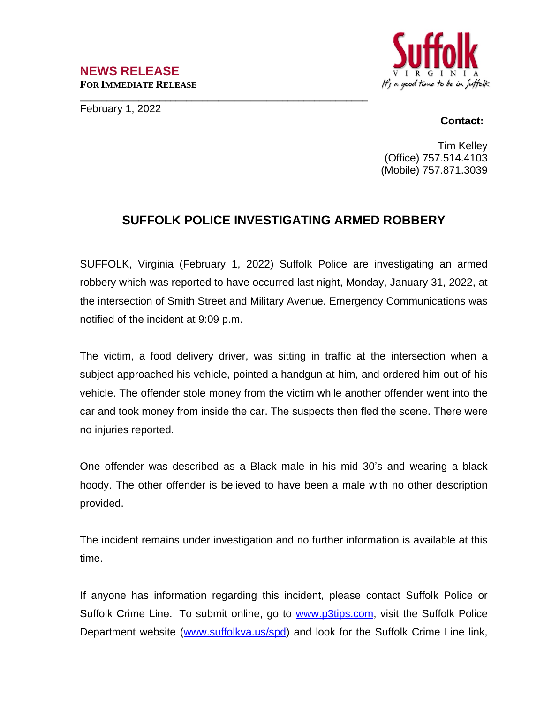## **NEWS RELEASE FOR IMMEDIATE RELEASE**

February 1, 2022



## **Contact:**

Tim Kelley (Office) 757.514.4103 (Mobile) 757.871.3039

## **SUFFOLK POLICE INVESTIGATING ARMED ROBBERY**

**\_\_\_\_\_\_\_\_\_\_\_\_\_\_\_\_\_\_\_\_\_\_\_\_\_\_\_\_\_\_\_\_\_\_\_\_\_\_\_\_\_\_\_\_\_\_\_\_\_\_\_\_\_\_**

SUFFOLK, Virginia (February 1, 2022) Suffolk Police are investigating an armed robbery which was reported to have occurred last night, Monday, January 31, 2022, at the intersection of Smith Street and Military Avenue. Emergency Communications was notified of the incident at 9:09 p.m.

The victim, a food delivery driver, was sitting in traffic at the intersection when a subject approached his vehicle, pointed a handgun at him, and ordered him out of his vehicle. The offender stole money from the victim while another offender went into the car and took money from inside the car. The suspects then fled the scene. There were no injuries reported.

One offender was described as a Black male in his mid 30's and wearing a black hoody. The other offender is believed to have been a male with no other description provided.

The incident remains under investigation and no further information is available at this time.

If anyone has information regarding this incident, please contact Suffolk Police or Suffolk Crime Line. To submit online, go to [www.p3tips.com](http://www.p3tips.com), visit the Suffolk Police Department website ([www.suffolkva.us/spd](http://www.suffolkva.us/spd)) and look for the Suffolk Crime Line link,